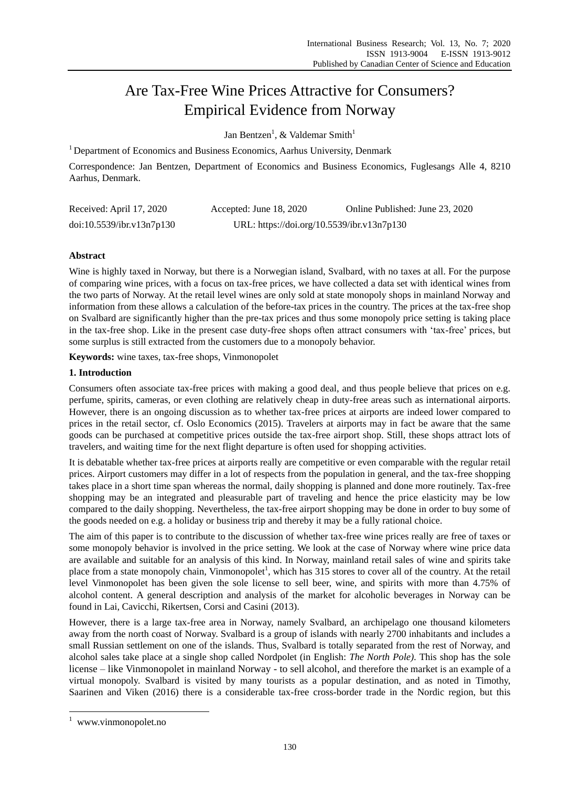# Are Tax-Free Wine Prices Attractive for Consumers? Empirical Evidence from Norway

Jan Bentzen<sup>1</sup>, & Valdemar Smith<sup>1</sup>

 $1$  Department of Economics and Business Economics, Aarhus University, Denmark

Correspondence: Jan Bentzen, Department of Economics and Business Economics, Fuglesangs Alle 4, 8210 Aarhus, Denmark.

| Received: April 17, 2020  | Accepted: June 18, 2020                    | Online Published: June 23, 2020 |  |
|---------------------------|--------------------------------------------|---------------------------------|--|
| doi:10.5539/ibr.v13n7p130 | URL: https://doi.org/10.5539/ibr.v13n7p130 |                                 |  |

# **Abstract**

Wine is highly taxed in Norway, but there is a Norwegian island, Svalbard, with no taxes at all. For the purpose of comparing wine prices, with a focus on tax-free prices, we have collected a data set with identical wines from the two parts of Norway. At the retail level wines are only sold at state monopoly shops in mainland Norway and information from these allows a calculation of the before-tax prices in the country. The prices at the tax-free shop on Svalbard are significantly higher than the pre-tax prices and thus some monopoly price setting is taking place in the tax-free shop. Like in the present case duty-free shops often attract consumers with 'tax-free' prices, but some surplus is still extracted from the customers due to a monopoly behavior.

**Keywords:** wine taxes, tax-free shops, Vinmonopolet

# **1. Introduction**

Consumers often associate tax-free prices with making a good deal, and thus people believe that prices on e.g. perfume, spirits, cameras, or even clothing are relatively cheap in duty-free areas such as international airports. However, there is an ongoing discussion as to whether tax-free prices at airports are indeed lower compared to prices in the retail sector, cf. Oslo Economics (2015). Travelers at airports may in fact be aware that the same goods can be purchased at competitive prices outside the tax-free airport shop. Still, these shops attract lots of travelers, and waiting time for the next flight departure is often used for shopping activities.

It is debatable whether tax-free prices at airports really are competitive or even comparable with the regular retail prices. Airport customers may differ in a lot of respects from the population in general, and the tax-free shopping takes place in a short time span whereas the normal, daily shopping is planned and done more routinely. Tax-free shopping may be an integrated and pleasurable part of traveling and hence the price elasticity may be low compared to the daily shopping. Nevertheless, the tax-free airport shopping may be done in order to buy some of the goods needed on e.g. a holiday or business trip and thereby it may be a fully rational choice.

The aim of this paper is to contribute to the discussion of whether tax-free wine prices really are free of taxes or some monopoly behavior is involved in the price setting. We look at the case of Norway where wine price data are available and suitable for an analysis of this kind. In Norway, mainland retail sales of wine and spirits take place from a state monopoly chain, Vinmonopolet<sup>1</sup>, which has 315 stores to cover all of the country. At the retail level Vinmonopolet has been given the sole license to sell beer, wine, and spirits with more than 4.75% of alcohol content. A general description and analysis of the market for alcoholic beverages in Norway can be found in Lai, Cavicchi, Rikertsen, Corsi and Casini (2013).

However, there is a large tax-free area in Norway, namely Svalbard, an archipelago one thousand kilometers away from the north coast of Norway. Svalbard is a group of islands with nearly 2700 inhabitants and includes a small Russian settlement on one of the islands. Thus, Svalbard is totally separated from the rest of Norway, and alcohol sales take place at a single shop called Nordpolet (in English: *The North Pole)*. This shop has the sole license – like Vinmonopolet in mainland Norway - to sell alcohol, and therefore the market is an example of a virtual monopoly. Svalbard is visited by many tourists as a popular destination, and as noted in Timothy, Saarinen and Viken (2016) there is a considerable tax-free cross-border trade in the Nordic region, but this

-

<sup>&</sup>lt;sup>1</sup> [www.vinmonopolet.no](http://www.vinmonopolet.no/)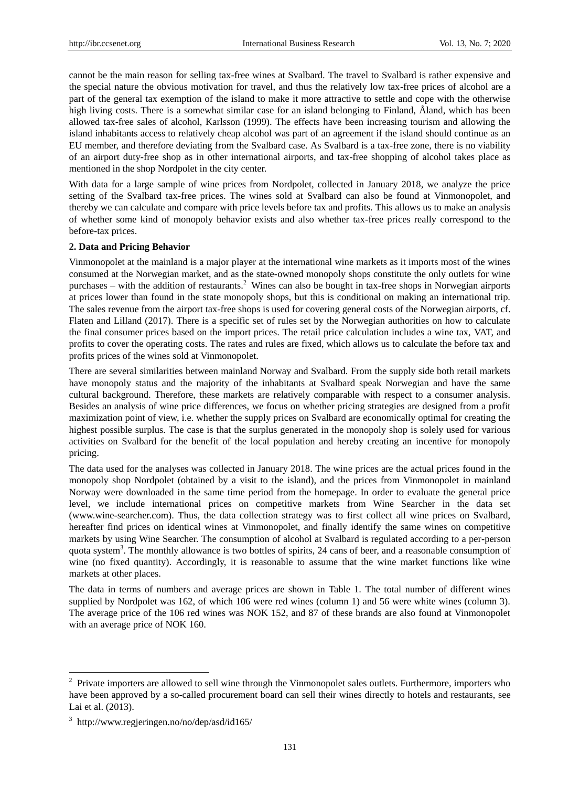cannot be the main reason for selling tax-free wines at Svalbard. The travel to Svalbard is rather expensive and the special nature the obvious motivation for travel, and thus the relatively low tax-free prices of alcohol are a part of the general tax exemption of the island to make it more attractive to settle and cope with the otherwise high living costs. There is a somewhat similar case for an island belonging to Finland, Åland, which has been allowed tax-free sales of alcohol, Karlsson (1999). The effects have been increasing tourism and allowing the island inhabitants access to relatively cheap alcohol was part of an agreement if the island should continue as an EU member, and therefore deviating from the Svalbard case. As Svalbard is a tax-free zone, there is no viability of an airport duty-free shop as in other international airports, and tax-free shopping of alcohol takes place as mentioned in the shop Nordpolet in the city center.

With data for a large sample of wine prices from Nordpolet, collected in January 2018, we analyze the price setting of the Svalbard tax-free prices. The wines sold at Svalbard can also be found at Vinmonopolet, and thereby we can calculate and compare with price levels before tax and profits. This allows us to make an analysis of whether some kind of monopoly behavior exists and also whether tax-free prices really correspond to the before-tax prices.

#### **2. Data and Pricing Behavior**

Vinmonopolet at the mainland is a major player at the international wine markets as it imports most of the wines consumed at the Norwegian market, and as the state-owned monopoly shops constitute the only outlets for wine purchases – with the addition of restaurants.<sup>2</sup> Wines can also be bought in tax-free shops in Norwegian airports at prices lower than found in the state monopoly shops, but this is conditional on making an international trip. The sales revenue from the airport tax-free shops is used for covering general costs of the Norwegian airports, cf. Flaten and Lilland (2017). There is a specific set of rules set by the Norwegian authorities on how to calculate the final consumer prices based on the import prices. The retail price calculation includes a wine tax, VAT, and profits to cover the operating costs. The rates and rules are fixed, which allows us to calculate the before tax and profits prices of the wines sold at Vinmonopolet.

There are several similarities between mainland Norway and Svalbard. From the supply side both retail markets have monopoly status and the majority of the inhabitants at Svalbard speak Norwegian and have the same cultural background. Therefore, these markets are relatively comparable with respect to a consumer analysis. Besides an analysis of wine price differences, we focus on whether pricing strategies are designed from a profit maximization point of view, i.e. whether the supply prices on Svalbard are economically optimal for creating the highest possible surplus. The case is that the surplus generated in the monopoly shop is solely used for various activities on Svalbard for the benefit of the local population and hereby creating an incentive for monopoly pricing.

The data used for the analyses was collected in January 2018. The wine prices are the actual prices found in the monopoly shop Nordpolet (obtained by a visit to the island), and the prices from Vinmonopolet in mainland Norway were downloaded in the same time period from the homepage. In order to evaluate the general price level, we include international prices on competitive markets from Wine Searcher in the data set (www.wine-searcher.com). Thus, the data collection strategy was to first collect all wine prices on Svalbard, hereafter find prices on identical wines at Vinmonopolet, and finally identify the same wines on competitive markets by using Wine Searcher. The consumption of alcohol at Svalbard is regulated according to a per-person quota system<sup>3</sup>. The monthly allowance is two bottles of spirits, 24 cans of beer, and a reasonable consumption of wine (no fixed quantity). Accordingly, it is reasonable to assume that the wine market functions like wine markets at other places.

The data in terms of numbers and average prices are shown in Table 1. The total number of different wines supplied by Nordpolet was 162, of which 106 were red wines (column 1) and 56 were white wines (column 3). The average price of the 106 red wines was NOK 152, and 87 of these brands are also found at Vinmonopolet with an average price of NOK 160.

-

 $2$  Private importers are allowed to sell wine through the Vinmonopolet sales outlets. Furthermore, importers who have been approved by a so-called procurement board can sell their wines directly to hotels and restaurants, see Lai et al. (2013).

<sup>3</sup> <http://www.regjeringen.no/no/dep/asd/id165/>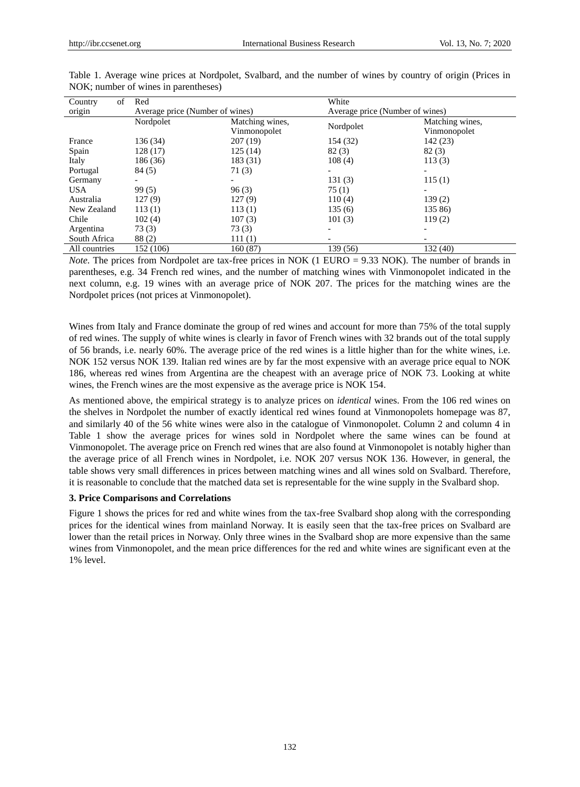| of<br>Country | Red                             |                                 | White                           |                                 |
|---------------|---------------------------------|---------------------------------|---------------------------------|---------------------------------|
| origin        | Average price (Number of wines) |                                 | Average price (Number of wines) |                                 |
|               | Nordpolet                       | Matching wines,<br>Vinmonopolet | Nordpolet                       | Matching wines,<br>Vinmonopolet |
| France        | 136 (34)                        | 207(19)                         | 154 (32)                        | 142(23)                         |
| Spain         | 128(17)                         | 125(14)                         | 82(3)                           | 82(3)                           |
| Italy         | 186 (36)                        | 183 (31)                        | 108(4)                          | 113(3)                          |
| Portugal      | 84 (5)                          | 71(3)                           |                                 |                                 |
| Germany       |                                 |                                 | 131(3)                          | 115(1)                          |
| USA.          | 99(5)                           | 96(3)                           | 75(1)                           |                                 |
| Australia     | 127(9)                          | 127(9)                          | 110(4)                          | 139(2)                          |
| New Zealand   | 113(1)                          | 113(1)                          | 135(6)                          | 135 86)                         |
| Chile         | 102(4)                          | 107(3)                          | 101(3)                          | 119(2)                          |
| Argentina     | 73(3)                           | 73(3)                           |                                 |                                 |
| South Africa  | 88(2)                           | 111(1)                          |                                 |                                 |
| All countries | 152 (106)                       | 160(87)                         | 139 (56)                        | 132 (40)                        |

Table 1. Average wine prices at Nordpolet, Svalbard, and the number of wines by country of origin (Prices in NOK; number of wines in parentheses)

*Note*. The prices from Nordpolet are tax-free prices in NOK (1 EURO = 9.33 NOK). The number of brands in parentheses, e.g. 34 French red wines, and the number of matching wines with Vinmonopolet indicated in the next column, e.g. 19 wines with an average price of NOK 207. The prices for the matching wines are the Nordpolet prices (not prices at Vinmonopolet).

Wines from Italy and France dominate the group of red wines and account for more than 75% of the total supply of red wines. The supply of white wines is clearly in favor of French wines with 32 brands out of the total supply of 56 brands, i.e. nearly 60%. The average price of the red wines is a little higher than for the white wines, i.e. NOK 152 versus NOK 139. Italian red wines are by far the most expensive with an average price equal to NOK 186, whereas red wines from Argentina are the cheapest with an average price of NOK 73. Looking at white wines, the French wines are the most expensive as the average price is NOK 154.

As mentioned above, the empirical strategy is to analyze prices on *identical* wines. From the 106 red wines on the shelves in Nordpolet the number of exactly identical red wines found at Vinmonopolets homepage was 87, and similarly 40 of the 56 white wines were also in the catalogue of Vinmonopolet. Column 2 and column 4 in Table 1 show the average prices for wines sold in Nordpolet where the same wines can be found at Vinmonopolet. The average price on French red wines that are also found at Vinmonopolet is notably higher than the average price of all French wines in Nordpolet, i.e. NOK 207 versus NOK 136. However, in general, the table shows very small differences in prices between matching wines and all wines sold on Svalbard. Therefore, it is reasonable to conclude that the matched data set is representable for the wine supply in the Svalbard shop.

## **3. Price Comparisons and Correlations**

Figure 1 shows the prices for red and white wines from the tax-free Svalbard shop along with the corresponding prices for the identical wines from mainland Norway. It is easily seen that the tax-free prices on Svalbard are lower than the retail prices in Norway. Only three wines in the Svalbard shop are more expensive than the same wines from Vinmonopolet, and the mean price differences for the red and white wines are significant even at the 1% level.

132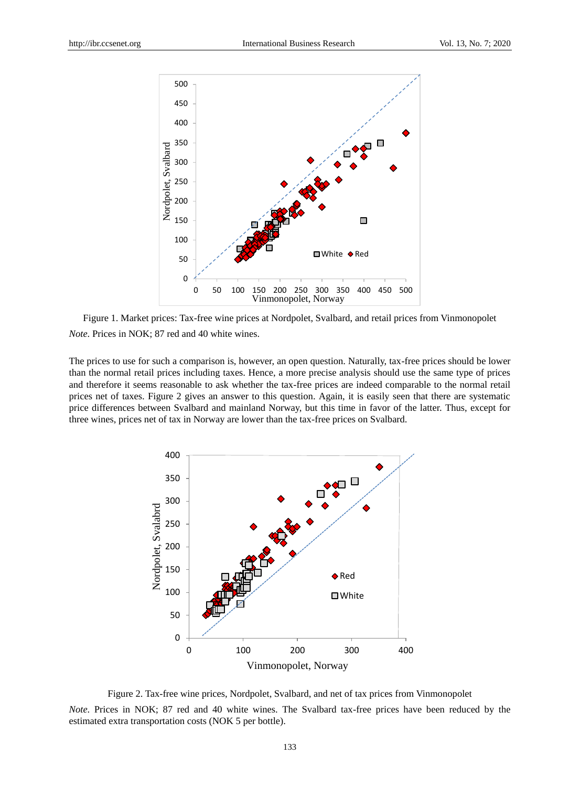

Figure 1. Market prices: Tax-free wine prices at Nordpolet, Svalbard, and retail prices from Vinmonopolet *Note*. Prices in NOK; 87 red and 40 white wines.

The prices to use for such a comparison is, however, an open question. Naturally, tax-free prices should be lower than the normal retail prices including taxes. Hence, a more precise analysis should use the same type of prices and therefore it seems reasonable to ask whether the tax-free prices are indeed comparable to the normal retail prices net of taxes. Figure 2 gives an answer to this question. Again, it is easily seen that there are systematic price differences between Svalbard and mainland Norway, but this time in favor of the latter. Thus, except for three wines, prices net of tax in Norway are lower than the tax-free prices on Svalbard.



Figure 2. Tax-free wine prices, Nordpolet, Svalbard, and net of tax prices from Vinmonopolet *Note*. Prices in NOK; 87 red and 40 white wines. The Svalbard tax-free prices have been reduced by the estimated extra transportation costs (NOK 5 per bottle).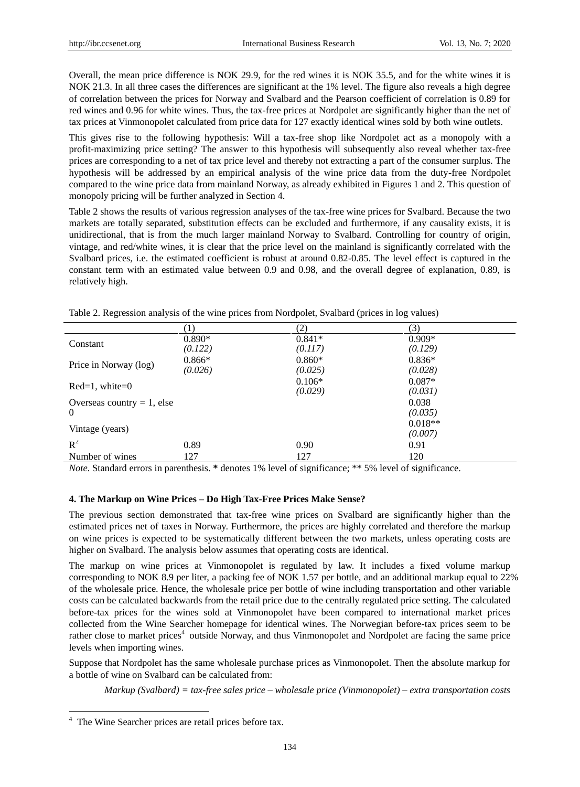Overall, the mean price difference is NOK 29.9, for the red wines it is NOK 35.5, and for the white wines it is NOK 21.3. In all three cases the differences are significant at the 1% level. The figure also reveals a high degree of correlation between the prices for Norway and Svalbard and the Pearson coefficient of correlation is 0.89 for red wines and 0.96 for white wines. Thus, the tax-free prices at Nordpolet are significantly higher than the net of tax prices at Vinmonopolet calculated from price data for 127 exactly identical wines sold by both wine outlets.

This gives rise to the following hypothesis: Will a tax-free shop like Nordpolet act as a monopoly with a profit-maximizing price setting? The answer to this hypothesis will subsequently also reveal whether tax-free prices are corresponding to a net of tax price level and thereby not extracting a part of the consumer surplus. The hypothesis will be addressed by an empirical analysis of the wine price data from the duty-free Nordpolet compared to the wine price data from mainland Norway, as already exhibited in Figures 1 and 2. This question of monopoly pricing will be further analyzed in Section 4.

Table 2 shows the results of various regression analyses of the tax-free wine prices for Svalbard. Because the two markets are totally separated, substitution effects can be excluded and furthermore, if any causality exists, it is unidirectional, that is from the much larger mainland Norway to Svalbard. Controlling for country of origin, vintage, and red/white wines, it is clear that the price level on the mainland is significantly correlated with the Svalbard prices, i.e. the estimated coefficient is robust at around 0.82-0.85. The level effect is captured in the constant term with an estimated value between 0.9 and 0.98, and the overall degree of explanation, 0.89, is relatively high.

|                               |          | 2)       | (3)       |
|-------------------------------|----------|----------|-----------|
|                               | $0.890*$ | $0.841*$ | $0.909*$  |
| Constant                      | (0.122)  | (0.117)  | (0.129)   |
| Price in Norway (log)         | $0.866*$ | $0.860*$ | $0.836*$  |
|                               | (0.026)  | (0.025)  | (0.028)   |
|                               |          | $0.106*$ | $0.087*$  |
| $Red=1$ , white=0             |          | (0.029)  | (0.031)   |
| Overseas country $= 1$ , else |          |          | 0.038     |
| $\theta$                      |          |          | (0.035)   |
|                               |          |          | $0.018**$ |
| Vintage (years)               |          |          | (0.007)   |
| $R^2$                         | 0.89     | 0.90     | 0.91      |
| Number of wines               | 127      | 127      | 120       |

Table 2. Regression analysis of the wine prices from Nordpolet, Svalbard (prices in log values)

*Note*. Standard errors in parenthesis. **\*** denotes 1% level of significance; \*\* 5% level of significance.

#### **4. The Markup on Wine Prices – Do High Tax-Free Prices Make Sense?**

The previous section demonstrated that tax-free wine prices on Svalbard are significantly higher than the estimated prices net of taxes in Norway. Furthermore, the prices are highly correlated and therefore the markup on wine prices is expected to be systematically different between the two markets, unless operating costs are higher on Svalbard. The analysis below assumes that operating costs are identical.

The markup on wine prices at Vinmonopolet is regulated by law. It includes a fixed volume markup corresponding to NOK 8.9 per liter, a packing fee of NOK 1.57 per bottle, and an additional markup equal to 22% of the wholesale price. Hence, the wholesale price per bottle of wine including transportation and other variable costs can be calculated backwards from the retail price due to the centrally regulated price setting. The calculated before-tax prices for the wines sold at Vinmonopolet have been compared to international market prices collected from the Wine Searcher homepage for identical wines. The Norwegian before-tax prices seem to be rather close to market prices<sup>4</sup> outside Norway, and thus Vinmonopolet and Nordpolet are facing the same price levels when importing wines.

Suppose that Nordpolet has the same wholesale purchase prices as Vinmonopolet. Then the absolute markup for a bottle of wine on Svalbard can be calculated from:

*Markup (Svalbard) = tax-free sales price – wholesale price (Vinmonopolet) – extra transportation costs*

-

<sup>4</sup> The Wine Searcher prices are retail prices before tax.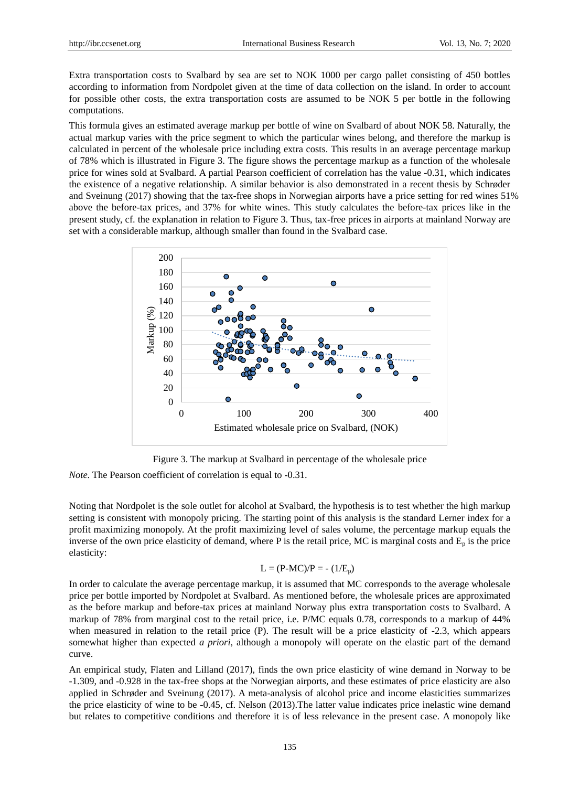Extra transportation costs to Svalbard by sea are set to NOK 1000 per cargo pallet consisting of 450 bottles according to information from Nordpolet given at the time of data collection on the island. In order to account for possible other costs, the extra transportation costs are assumed to be NOK 5 per bottle in the following computations.

This formula gives an estimated average markup per bottle of wine on Svalbard of about NOK 58. Naturally, the actual markup varies with the price segment to which the particular wines belong, and therefore the markup is calculated in percent of the wholesale price including extra costs. This results in an average percentage markup of 78% which is illustrated in Figure 3. The figure shows the percentage markup as a function of the wholesale price for wines sold at Svalbard. A partial Pearson coefficient of correlation has the value -0.31, which indicates the existence of a negative relationship. A similar behavior is also demonstrated in a recent thesis by Schrøder and Sveinung (2017) showing that the tax-free shops in Norwegian airports have a price setting for red wines 51% above the before-tax prices, and 37% for white wines. This study calculates the before-tax prices like in the present study, cf. the explanation in relation to Figure 3. Thus, tax-free prices in airports at mainland Norway are set with a considerable markup, although smaller than found in the Svalbard case.



Figure 3. The markup at Svalbard in percentage of the wholesale price

*Note*. The Pearson coefficient of correlation is equal to -0.31.

Noting that Nordpolet is the sole outlet for alcohol at Svalbard, the hypothesis is to test whether the high markup setting is consistent with monopoly pricing. The starting point of this analysis is the standard Lerner index for a profit maximizing monopoly. At the profit maximizing level of sales volume, the percentage markup equals the inverse of the own price elasticity of demand, where P is the retail price, MC is marginal costs and  $E_p$  is the price elasticity:

# $L = (P-MC)/P = - (1/E_p)$

In order to calculate the average percentage markup, it is assumed that MC corresponds to the average wholesale price per bottle imported by Nordpolet at Svalbard. As mentioned before, the wholesale prices are approximated as the before markup and before-tax prices at mainland Norway plus extra transportation costs to Svalbard. A markup of 78% from marginal cost to the retail price, i.e. P/MC equals 0.78, corresponds to a markup of 44% when measured in relation to the retail price (P). The result will be a price elasticity of -2.3, which appears somewhat higher than expected *a priori*, although a monopoly will operate on the elastic part of the demand curve.

An empirical study, Flaten and Lilland (2017), finds the own price elasticity of wine demand in Norway to be -1.309, and -0.928 in the tax-free shops at the Norwegian airports, and these estimates of price elasticity are also applied in Schrøder and Sveinung (2017). A meta-analysis of alcohol price and income elasticities summarizes the price elasticity of wine to be -0.45, cf. Nelson (2013).The latter value indicates price inelastic wine demand but relates to competitive conditions and therefore it is of less relevance in the present case. A monopoly like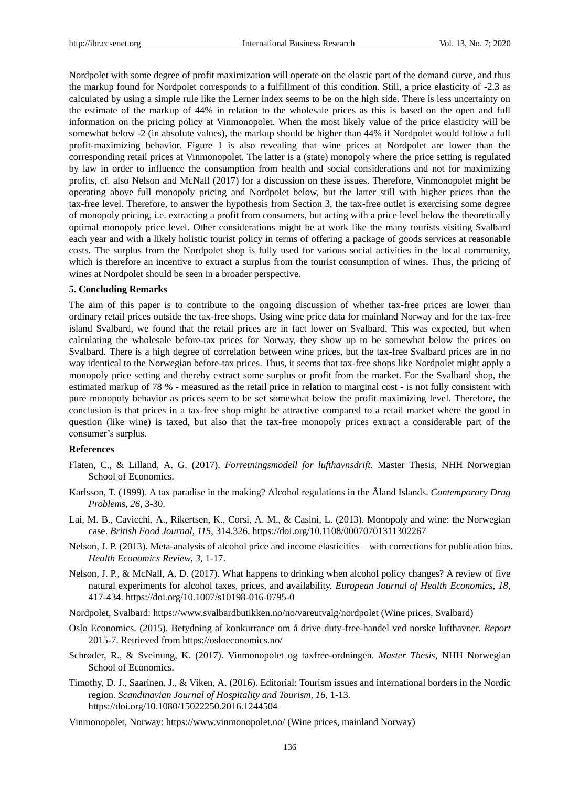Nordpolet with some degree of profit maximization will operate on the elastic part of the demand curve, and thus the markup found for Nordpolet corresponds to a fulfillment of this condition. Still, a price elasticity of -2.3 as calculated by using a simple rule like the Lerner index seems to be on the high side. There is less uncertainty on the estimate of the markup of 44% in relation to the wholesale prices as this is based on the open and full information on the pricing policy at Vinmonopolet. When the most likely value of the price elasticity will be somewhat below -2 (in absolute values), the markup should be higher than 44% if Nordpolet would follow a full profit-maximizing behavior. Figure 1 is also revealing that wine prices at Nordpolet are lower than the corresponding retail prices at Vinmonopolet. The latter is a (state) monopoly where the price setting is regulated by law in order to influence the consumption from health and social considerations and not for maximizing profits, cf. also Nelson and McNall (2017) for a discussion on these issues. Therefore, Vinmonopolet might be operating above full monopoly pricing and Nordpolet below, but the latter still with higher prices than the tax-free level. Therefore, to answer the hypothesis from Section 3, the tax-free outlet is exercising some degree of monopoly pricing, i.e. extracting a profit from consumers, but acting with a price level below the theoretically optimal monopoly price level. Other considerations might be at work like the many tourists visiting Svalbard each year and with a likely holistic tourist policy in terms of offering a package of goods services at reasonable costs. The surplus from the Nordpolet shop is fully used for various social activities in the local community, which is therefore an incentive to extract a surplus from the tourist consumption of wines. Thus, the pricing of wines at Nordpolet should be seen in a broader perspective.

#### **5. Concluding Remarks**

The aim of this paper is to contribute to the ongoing discussion of whether tax-free prices are lower than ordinary retail prices outside the tax-free shops. Using wine price data for mainland Norway and for the tax-free island Svalbard, we found that the retail prices are in fact lower on Svalbard. This was expected, but when calculating the wholesale before-tax prices for Norway, they show up to be somewhat below the prices on Svalbard. There is a high degree of correlation between wine prices, but the tax-free Svalbard prices are in no way identical to the Norwegian before-tax prices. Thus, it seems that tax-free shops like Nordpolet might apply a monopoly price setting and thereby extract some surplus or profit from the market. For the Svalbard shop, the estimated markup of 78 % - measured as the retail price in relation to marginal cost - is not fully consistent with pure monopoly behavior as prices seem to be set somewhat below the profit maximizing level. Therefore, the conclusion is that prices in a tax-free shop might be attractive compared to a retail market where the good in question (like wine) is taxed, but also that the tax-free monopoly prices extract a considerable part of the consumer's surplus.

#### **References**

- Flaten, C., & Lilland, A. G. (2017). *Forretningsmodell for lufthavnsdrift.* Master Thesis, NHH Norwegian School of Economics.
- Karlsson, T. (1999). A tax paradise in the making? Alcohol regulations in the Åland Islands. *Contemporary Drug Problem*s*, 26*, 3-30.
- Lai, M. B., Cavicchi, A., Rikertsen, K., Corsi, A. M., & Casini, L. (2013). Monopoly and wine: the Norwegian case. *British Food Journal, 115*, 314.326.<https://doi.org/10.1108/00070701311302267>
- Nelson, J. P. (2013). Meta-analysis of alcohol price and income elasticities with corrections for publication bias. *Health Economics Review*, *3*, 1-17.
- Nelson, J. P., & McNall, A. D. (2017). What happens to drinking when alcohol policy changes? A review of five natural experiments for alcohol taxes, prices, and availability. *European Journal of Health Economics, 18*, 417-434. https://doi.org/10.1007/s10198-016-0795-0
- Nordpolet, Svalbard:<https://www.svalbardbutikken.no/no/vareutvalg/nordpolet> (Wine prices, Svalbard)
- Oslo Economics. (2015). Betydning af konkurrance om å drive duty-free-handel ved norske lufthavner. *Report* 2015-7. Retrieved fro[m https://osloeconomics.no/](https://osloeconomics.no/)
- Schrøder, R., & Sveinung, K. (2017). Vinmonopolet og taxfree-ordningen. *Master Thesis*, NHH Norwegian School of Economics.
- Timothy, D. J., Saarinen, J., & Viken, A. (2016). Editorial: Tourism issues and international borders in the Nordic region. *Scandinavian Journal of Hospitality and Tourism, 16,* 1-13. <https://doi.org/10.1080/15022250.2016.1244504>
- Vinmonopolet, Norway[: https://www.vinmonopolet.no/](https://www.vinmonopolet.no/) (Wine prices, mainland Norway)